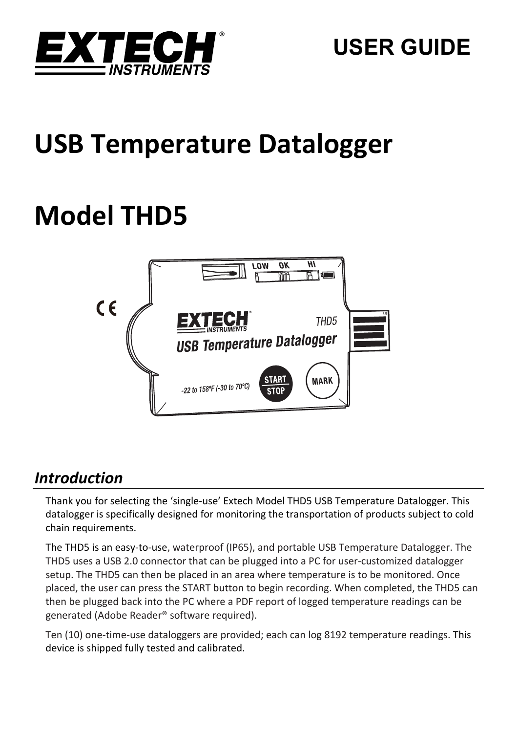

# **USB Temperature Datalogger**

# **Model THD5**



## *Introduction*

Thank you for selecting the 'single‐use' Extech Model THD5 USB Temperature Datalogger. This datalogger is specifically designed for monitoring the transportation of products subject to cold chain requirements.

The THD5 is an easy‐to‐use, waterproof (IP65), and portable USB Temperature Datalogger. The THD5 uses a USB 2.0 connector that can be plugged into a PC for user-customized datalogger setup. The THD5 can then be placed in an area where temperature is to be monitored. Once placed, the user can press the START button to begin recording. When completed, the THD5 can then be plugged back into the PC where a PDF report of logged temperature readings can be generated (Adobe Reader® software required).

Ten (10) one-time-use dataloggers are provided; each can log 8192 temperature readings. This device is shipped fully tested and calibrated.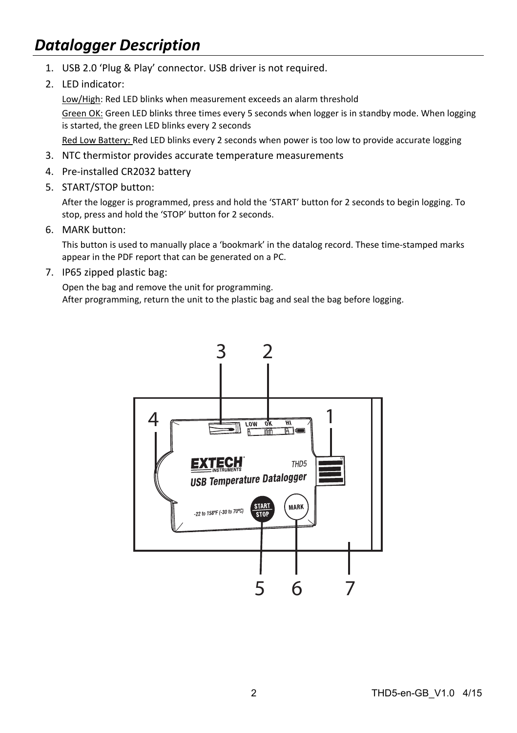## *Datalogger Description*

- 1. USB 2.0 'Plug & Play' connector. USB driver is not required.
- 2. LED indicator:

Low/High: Red LED blinks when measurement exceeds an alarm threshold

Green OK: Green LED blinks three times every 5 seconds when logger is in standby mode. When logging is started, the green LED blinks every 2 seconds

Red Low Battery: Red LED blinks every 2 seconds when power is too low to provide accurate logging

- 3. NTC thermistor provides accurate temperature measurements
- 4. Pre‐installed CR2032 battery
- 5. START/STOP button:

After the logger is programmed, press and hold the 'START' button for 2 seconds to begin logging. To stop, press and hold the 'STOP' button for 2 seconds.

6. MARK button:

This button is used to manually place a 'bookmark' in the datalog record. These time‐stamped marks appear in the PDF report that can be generated on a PC.

7. IP65 zipped plastic bag:

Open the bag and remove the unit for programming. After programming, return the unit to the plastic bag and seal the bag before logging.

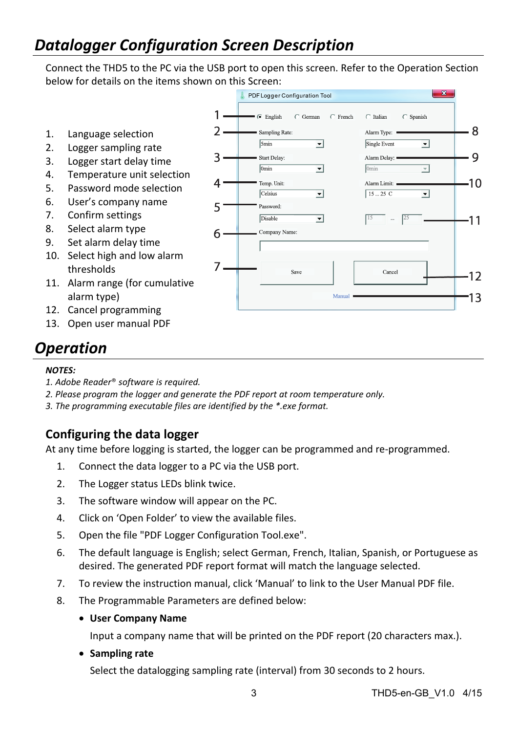# *Datalogger Configuration Screen Description*

Connect the THD5 to the PC via the USB port to open this screen. Refer to the Operation Section below for details on the items shown on this Screen:

PDF Logger Configuration Tool  $1.$  $\cdot$   $\epsilon$  English  $\subset$  German  $\subset$  French  $\cap$  Italian  $\subset$  Spanish  $2 -$ 8 1. Language selection Sampling Rate: Alarm Type:  $=$  $5min$ ᅱ ↴ Single Event 2. Logger sampling rate 3. Start Delay: Alarm Delay: 9 3. Logger start delay time  $\overline{0min}$ ↴  $\overline{0 \text{min}}$  $\overline{\phantom{0}}$ 4. Temperature unit selection  $-10$ Δ. Temp, Unit: Alarm Limit: 5. Password mode selection Celsius न  $15...25$  C  $\overline{\phantom{a}}$ 6. User's company name 51 Password: 7. Confirm settings Disable ↴  $-11$ 8. Select alarm type Company Name:  $6 -$ 9. Set alarm delay time 10. Select high and low alarm 7. thresholds Cancel Save  $-12$ 11. Alarm range (for cumulative alarm type) Manual 13 12. Cancel programming

# *Operation*

#### *NOTES:*

*1. Adobe Reader*® *software is required.* 

13. Open user manual PDF

- *2. Please program the logger and generate the PDF report at room temperature only.*
- *3. The programming executable files are identified by the \*.exe format.*

### **Configuring the data logger**

At any time before logging is started, the logger can be programmed and re‐programmed.

- 1. Connect the data logger to a PC via the USB port.
- 2. The Logger status LEDs blink twice.
- 3. The software window will appear on the PC.
- 4. Click on 'Open Folder' to view the available files.
- 5. Open the file "PDF Logger Configuration Tool.exe".
- 6. The default language is English; select German, French, Italian, Spanish, or Portuguese as desired. The generated PDF report format will match the language selected.
- 7. To review the instruction manual, click 'Manual' to link to the User Manual PDF file.
- 8. The Programmable Parameters are defined below:
	- **User Company Name**

Input a company name that will be printed on the PDF report (20 characters max.).

**Sampling rate**

Select the datalogging sampling rate (interval) from 30 seconds to 2 hours.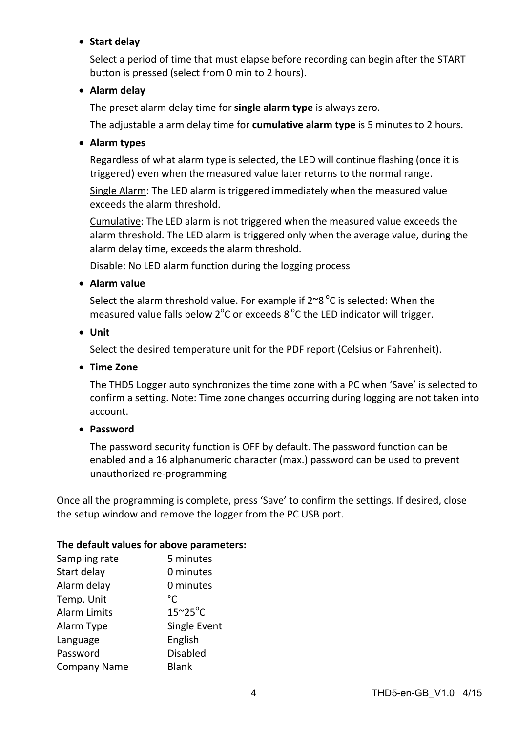#### **Start delay**

Select a period of time that must elapse before recording can begin after the START button is pressed (select from 0 min to 2 hours).

#### **Alarm delay**

The preset alarm delay time for **single alarm type** is always zero.

The adjustable alarm delay time for **cumulative alarm type** is 5 minutes to 2 hours.

#### **Alarm types**

Regardless of what alarm type is selected, the LED will continue flashing (once it is triggered) even when the measured value later returns to the normal range.

Single Alarm: The LED alarm is triggered immediately when the measured value exceeds the alarm threshold.

Cumulative: The LED alarm is not triggered when the measured value exceeds the alarm threshold. The LED alarm is triggered only when the average value, during the alarm delay time, exceeds the alarm threshold.

Disable: No LED alarm function during the logging process

**Alarm value**

Select the alarm threshold value. For example if  $2^{\sim}8^{\degree}$ C is selected: When the measured value falls below  $2^{\circ}$ C or exceeds 8  $^{\circ}$ C the LED indicator will trigger.

**Unit**

Select the desired temperature unit for the PDF report (Celsius or Fahrenheit).

**Time Zone**

The THD5 Logger auto synchronizes the time zone with a PC when 'Save' is selected to confirm a setting. Note: Time zone changes occurring during logging are not taken into account.

**Password**

The password security function is OFF by default. The password function can be enabled and a 16 alphanumeric character (max.) password can be used to prevent unauthorized re‐programming

Once all the programming is complete, press 'Save' to confirm the settings. If desired, close the setup window and remove the logger from the PC USB port.

#### **The default values for above parameters:**

| Sampling rate       | 5 minutes               |
|---------------------|-------------------------|
| Start delay         | 0 minutes               |
| Alarm delay         | 0 minutes               |
| Temp. Unit          | °۲                      |
| <b>Alarm Limits</b> | $15^{\circ}25^{\circ}C$ |
| Alarm Type          | Single Event            |
| Language            | English                 |
| Password            | <b>Disabled</b>         |
| <b>Company Name</b> | <b>Blank</b>            |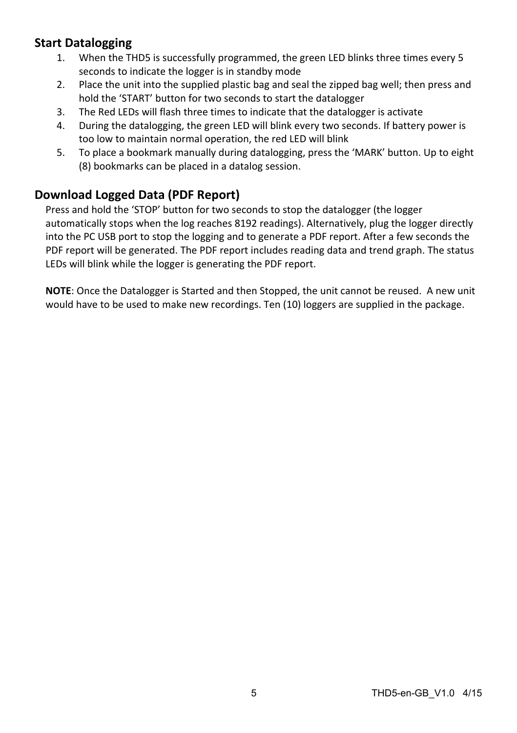## **Start Datalogging**

- 1. When the THD5 is successfully programmed, the green LED blinks three times every 5 seconds to indicate the logger is in standby mode
- 2. Place the unit into the supplied plastic bag and seal the zipped bag well; then press and hold the 'START' button for two seconds to start the datalogger
- 3. The Red LEDs will flash three times to indicate that the datalogger is activate
- 4. During the datalogging, the green LED will blink every two seconds. If battery power is too low to maintain normal operation, the red LED will blink
- 5. To place a bookmark manually during datalogging, press the 'MARK' button. Up to eight (8) bookmarks can be placed in a datalog session.

## **Download Logged Data (PDF Report)**

Press and hold the 'STOP' button for two seconds to stop the datalogger (the logger automatically stops when the log reaches 8192 readings). Alternatively, plug the logger directly into the PC USB port to stop the logging and to generate a PDF report. After a few seconds the PDF report will be generated. The PDF report includes reading data and trend graph. The status LEDs will blink while the logger is generating the PDF report.

**NOTE**: Once the Datalogger is Started and then Stopped, the unit cannot be reused. A new unit would have to be used to make new recordings. Ten (10) loggers are supplied in the package.